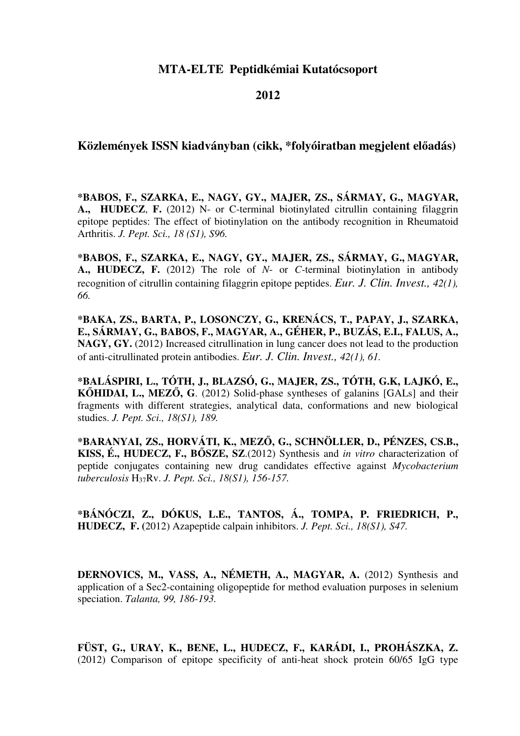### **MTA-ELTE Peptidkémiai Kutatócsoport**

#### **2012**

### **Közlemények ISSN kiadványban (cikk, \*folyóiratban megjelent el**ő**adás)**

**\*BABOS, F., SZARKA, E., NAGY, GY., MAJER, ZS., SÁRMAY, G., MAGYAR, A., HUDECZ**, **F.** (2012) N- or C-terminal biotinylated citrullin containing filaggrin epitope peptides: The effect of biotinylation on the antibody recognition in Rheumatoid Arthritis. *J. Pept. Sci., 18 (S1), S96.* 

**\*BABOS, F., SZARKA, E., NAGY, GY., MAJER, ZS., SÁRMAY, G., MAGYAR, A., HUDECZ, F.** (2012) The role of *N*- or *C*-terminal biotinylation in antibody recognition of citrullin containing filaggrin epitope peptides. *Eur. J. Clin. Invest., 42(1), 66.*

**\*BAKA, ZS., BARTA, P., LOSONCZY, G., KRENÁCS, T., PAPAY, J., SZARKA, E., SÁRMAY, G., BABOS, F., MAGYAR, A., GÉHER, P., BUZÁS, E.I., FALUS, A., NAGY, GY.** (2012) Increased citrullination in lung cancer does not lead to the production of anti-citrullinated protein antibodies. *Eur. J. Clin. Invest., 42(1), 61.*

**\*BALÁSPIRI, L., TÓTH, J., BLAZSÓ, G., MAJER, ZS., TÓTH, G.K, LAJKÓ, E., K**Ő**HIDAI, L., MEZ**Ő**, G**. (2012) Solid-phase syntheses of galanins [GALs] and their fragments with different strategies, analytical data, conformations and new biological studies. *J. Pept. Sci., 18(S1), 189.* 

**\*BARANYAI, ZS., HORVÁTI, K., MEZ**Ő**, G., SCHNÖLLER, D., PÉNZES, CS.B., KISS, É., HUDECZ, F., B**Ő**SZE, SZ**.(2012) Synthesis and *in vitro* characterization of peptide conjugates containing new drug candidates effective against *Mycobacterium tuberculosis* H37Rv. *J. Pept. Sci., 18(S1), 156-157.* 

**\*BÁNÓCZI, Z., DÓKUS, L.E., TANTOS, Á., TOMPA, P. FRIEDRICH, P., HUDECZ, F. (**2012) Azapeptide calpain inhibitors. *J. Pept. Sci., 18(S1), S47.* 

**DERNOVICS, M., VASS, A., NÉMETH, A., MAGYAR, A.** (2012) Synthesis and application of a Sec2-containing oligopeptide for method evaluation purposes in selenium speciation. *Talanta, 99, 186-193.*

**FÜST, G., URAY, K., BENE, L., HUDECZ, F., KARÁDI, I., PROHÁSZKA, Z.**  (2012) Comparison of epitope specificity of anti-heat shock protein 60/65 IgG type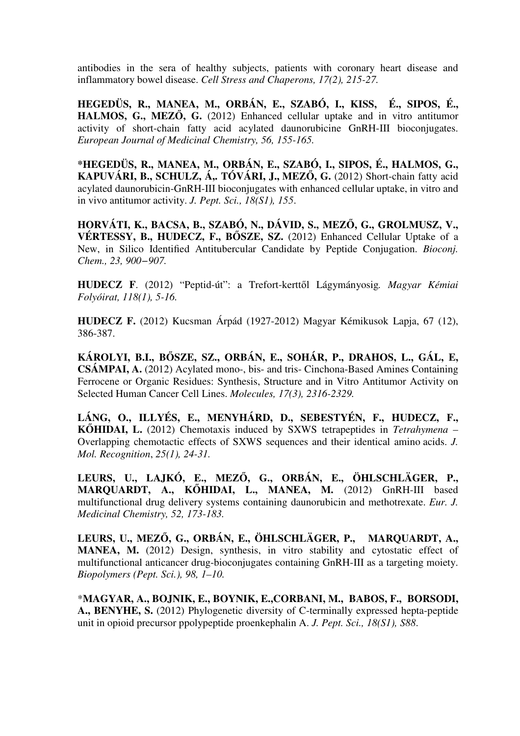antibodies in the sera of healthy subjects, patients with coronary heart disease and inflammatory bowel disease. *Cell Stress and Chaperons, 17(2), 215-27.*

**HEGEDÜS, R., MANEA, M., ORBÁN, E., SZABÓ, I., KISS, É., SIPOS, É., HALMOS, G., MEZ**Ő**, G.** (2012) Enhanced cellular uptake and in vitro antitumor activity of short-chain fatty acid acylated daunorubicine GnRH-III bioconjugates. *European Journal of Medicinal Chemistry, 56, 155-165.* 

**\*HEGEDÜS, R., MANEA, M., ORBÁN, E., SZABÓ, I., SIPOS, É., HALMOS, G., KAPUVÁRI, B., SCHULZ, Á,. TÓVÁRI, J., MEZ**Ő**, G.** (2012) Short-chain fatty acid acylated daunorubicin-GnRH-III bioconjugates with enhanced cellular uptake, in vitro and in vivo antitumor activity. *J. Pept. Sci., 18(S1), 155*.

**HORVÁTI, K., BACSA, B., SZABÓ, N., DÁVID, S., MEZ**Ő**, G., GROLMUSZ, V., VÉRTESSY, B., HUDECZ, F., B**Ő**SZE, SZ.** (2012) Enhanced Cellular Uptake of a New, in Silico Identified Antitubercular Candidate by Peptide Conjugation. *Bioconj. Chem., 23, 900−907.* 

**HUDECZ F**. (2012) "Peptid-út": a Trefort-kerttől Lágymányosig*. Magyar Kémiai Folyóirat, 118(1), 5-16.*

**HUDECZ F.** (2012) Kucsman Árpád (1927-2012) Magyar Kémikusok Lapja, 67 (12), 386-387.

**KÁROLYI, B.I., B**Ő**SZE, SZ., ORBÁN, E., SOHÁR, P., DRAHOS, L., GÁL, E, CSÁMPAI, A.** (2012) Acylated mono-, bis- and tris- Cinchona-Based Amines Containing Ferrocene or Organic Residues: Synthesis, Structure and in Vitro Antitumor Activity on Selected Human Cancer Cell Lines. *Molecules, 17(3), 2316-2329.*

**LÁNG, O., ILLYÉS, E., MENYHÁRD, D., SEBESTYÉN, F., HUDECZ, F., K**Ő**HIDAI, L.** (2012) Chemotaxis induced by SXWS tetrapeptides in *Tetrahymena* – Overlapping chemotactic effects of SXWS sequences and their identical amino acids. *J. Mol. Recognition*, *25(1), 24-31.*

**LEURS, U., LAJKÓ, E., MEZ**Ő**, G., ORBÁN, E., ÖHLSCHLÄGER, P., MARQUARDT, A., K**Ő**HIDAI, L., MANEA, M.** (2012) GnRH-III based multifunctional drug delivery systems containing daunorubicin and methotrexate. *Eur. J. Medicinal Chemistry, 52, 173-183.*

**LEURS, U., MEZ**Ő**, G., ORBÁN, E., ÖHLSCHLÄGER, P., MARQUARDT, A., MANEA, M.** (2012) Design, synthesis, in vitro stability and cytostatic effect of multifunctional anticancer drug-bioconjugates containing GnRH-III as a targeting moiety. *Biopolymers (Pept. Sci.), 98, 1–10.*

\***MAGYAR, A., BOJNIK, E., BOYNIK, E.,CORBANI, M., BABOS, F., BORSODI, A., BENYHE, S.** (2012) Phylogenetic diversity of C-terminally expressed hepta-peptide unit in opioid precursor ppolypeptide proenkephalin A. *J. Pept. Sci., 18(S1), S88*.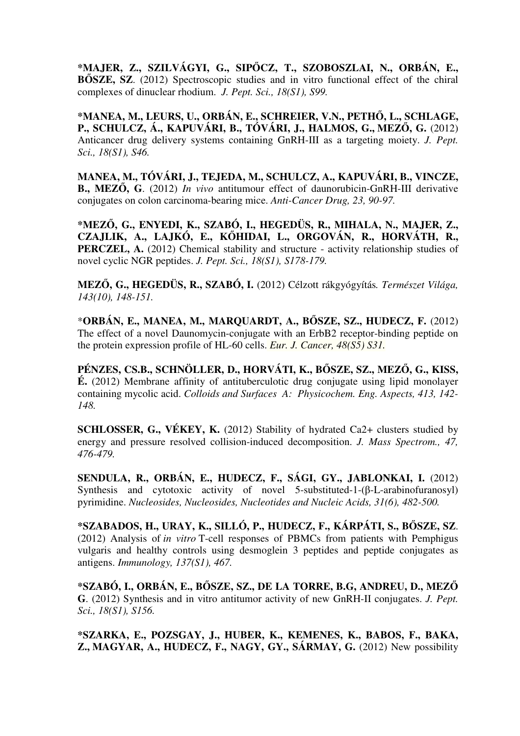**\*MAJER, Z., SZILVÁGYI, G., SIP**Ő**CZ, T., SZOBOSZLAI, N., ORBÁN, E., B**Ő**SZE, SZ**. (2012) Spectroscopic studies and in vitro functional effect of the chiral complexes of dinuclear rhodium. *J. Pept. Sci., 18(S1), S99.* 

**\*MANEA, M., LEURS, U., ORBÁN, E., SCHREIER, V.N., PETH**Ő**, L., SCHLAGE, P., SCHULCZ, Á., KAPUVÁRI, B., TÓVÁRI, J., HALMOS, G., MEZ**Ő**, G.** (2012) Anticancer drug delivery systems containing GnRH-III as a targeting moiety. *J. Pept. Sci., 18(S1), S46.*

**MANEA, M., TÓVÁRI, J., TEJEDA, M., SCHULCZ, A., KAPUVÁRI, B., VINCZE, B., MEZ**Ő**, G**. (2012) *In vivo* antitumour effect of daunorubicin-GnRH-III derivative conjugates on colon carcinoma-bearing mice. *Anti-Cancer Drug, 23, 90-97.* 

**\*MEZ**Ő**, G., ENYEDI, K., SZABÓ, I., HEGEDÜS, R., MIHALA, N., MAJER, Z., CZAJLIK, A., LAJKÓ, E., K**Ő**HIDAI, L., ORGOVÁN, R., HORVÁTH, R.,**  PERCZEL, A. (2012) Chemical stability and structure - activity relationship studies of novel cyclic NGR peptides. *J. Pept. Sci., 18(S1), S178-179.*

**MEZ**Ő**, G., HEGEDÜS, R., SZABÓ, I.** (2012) Célzott rákgyógyítás*. Természet Világa, 143(10), 148-151.*

\***ORBÁN, E., MANEA, M., MARQUARDT, A., B**Ő**SZE, SZ., HUDECZ, F.** (2012) The effect of a novel Daunomycin-conjugate with an ErbB2 receptor-binding peptide on the protein expression profile of HL-60 cells. *Eur. J. Cancer, 48(S5) S31.*

**PÉNZES, CS.B., SCHNÖLLER, D., HORVÁTI, K., B**Ő**SZE, SZ., MEZ**Ő**, G., KISS, É.** (2012) Membrane affinity of antituberculotic drug conjugate using lipid monolayer containing mycolic acid. *Colloids and Surfaces A: Physicochem. Eng. Aspects, 413, 142- 148.*

**SCHLOSSER, G., VÉKEY, K.** (2012) Stability of hydrated Ca2+ clusters studied by energy and pressure resolved collision-induced decomposition. *J. Mass Spectrom., 47, 476-479.*

**SENDULA, R., ORBÁN, E., HUDECZ, F., SÁGI, GY., JABLONKAI, I.** (2012) Synthesis and cytotoxic activity of novel 5-substituted-1-(β-L-arabinofuranosyl) pyrimidine. *Nucleosides, Nucleosides, Nucleotides and Nucleic Acids, 31(6), 482-500.* 

**\*SZABADOS, H., URAY, K., SILLÓ, P., HUDECZ, F., KÁRPÁTI, S., B**Ő**SZE, SZ**. (2012) Analysis of *in vitro* T-cell responses of PBMCs from patients with Pemphigus vulgaris and healthy controls using desmoglein 3 peptides and peptide conjugates as antigens. *Immunology, 137(S1), 467.* 

**\*SZABÓ, I., ORBÁN, E., B**Ő**SZE, SZ., DE LA TORRE, B.G, ANDREU, D., MEZ**Ő **G**. (2012) Synthesis and in vitro antitumor activity of new GnRH-II conjugates. *J. Pept. Sci., 18(S1), S156.*

**\*SZARKA, E., POZSGAY, J., HUBER, K., KEMENES, K., BABOS, F., BAKA, Z., MAGYAR, A., HUDECZ, F., NAGY, GY., SÁRMAY, G.** (2012) New possibility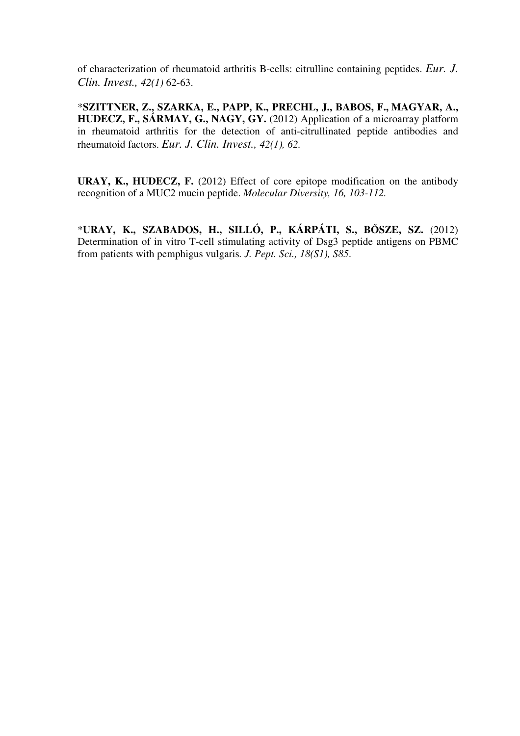of characterization of rheumatoid arthritis B-cells: citrulline containing peptides. *Eur. J. Clin. Invest., 42(1)* 62-63.

\***SZITTNER, Z., SZARKA, E., PAPP, K., PRECHL, J., BABOS, F., MAGYAR, A., HUDECZ, F., SÁRMAY, G., NAGY, GY.** (2012) Application of a microarray platform in rheumatoid arthritis for the detection of anti-citrullinated peptide antibodies and rheumatoid factors. *Eur. J. Clin. Invest., 42(1), 62.*

**URAY, K., HUDECZ, F.** (2012) Effect of core epitope modification on the antibody recognition of a MUC2 mucin peptide. *Molecular Diversity, 16, 103-112.*

\***URAY, K., SZABADOS, H., SILLÓ, P., KÁRPÁTI, S., B**Ő**SZE, SZ.** (2012) Determination of in vitro T-cell stimulating activity of Dsg3 peptide antigens on PBMC from patients with pemphigus vulgaris*. J. Pept. Sci., 18(S1), S85*.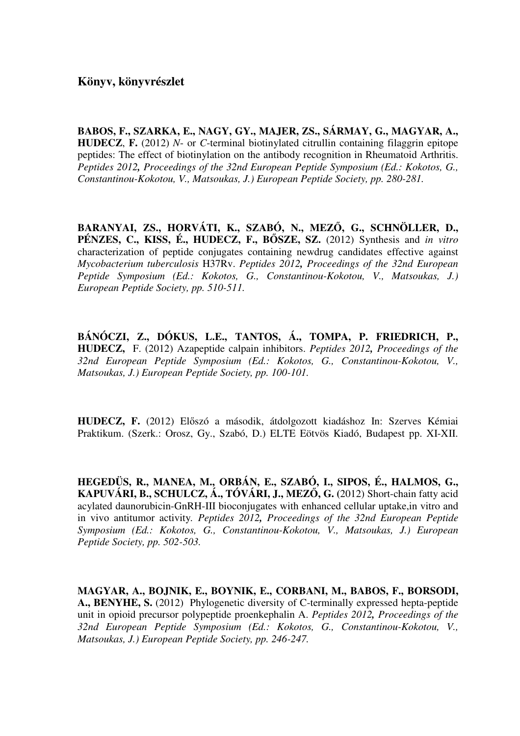**BABOS, F., SZARKA, E., NAGY, GY., MAJER, ZS., SÁRMAY, G., MAGYAR, A., HUDECZ**, **F.** (2012) *N*- or *C*-terminal biotinylated citrullin containing filaggrin epitope peptides: The effect of biotinylation on the antibody recognition in Rheumatoid Arthritis. *Peptides 2012, Proceedings of the 32nd European Peptide Symposium (Ed.: Kokotos, G., Constantinou-Kokotou, V., Matsoukas, J.) European Peptide Society, pp. 280-281.*

**BARANYAI, ZS., HORVÁTI, K., SZABÓ, N., MEZ**Ő**, G., SCHNÖLLER, D., PÉNZES, C., KISS, É., HUDECZ, F., B**Ő**SZE, SZ.** (2012) Synthesis and *in vitro* characterization of peptide conjugates containing newdrug candidates effective against *Mycobacterium tuberculosis* H37Rv. *Peptides 2012, Proceedings of the 32nd European Peptide Symposium (Ed.: Kokotos, G., Constantinou-Kokotou, V., Matsoukas, J.) European Peptide Society, pp. 510-511.*

**BÁNÓCZI, Z., DÓKUS, L.E., TANTOS, Á., TOMPA, P. FRIEDRICH, P., HUDECZ,** F. (2012) Azapeptide calpain inhibitors. *Peptides 2012, Proceedings of the 32nd European Peptide Symposium (Ed.: Kokotos, G., Constantinou-Kokotou, V., Matsoukas, J.) European Peptide Society, pp. 100-101.*

**HUDECZ, F.** (2012) Előszó a második, átdolgozott kiadáshoz In: Szerves Kémiai Praktikum. (Szerk.: Orosz, Gy., Szabó, D.) ELTE Eötvös Kiadó, Budapest pp. XI-XII.

**HEGEDÜS, R., MANEA, M., ORBÁN, E., SZABÓ, I., SIPOS, É., HALMOS, G., KAPUVÁRI, B., SCHULCZ, Á., TÓVÁRI, J., MEZ**Ő**, G. (**2012) Short-chain fatty acid acylated daunorubicin-GnRH-III bioconjugates with enhanced cellular uptake,in vitro and in vivo antitumor activity*. Peptides 2012, Proceedings of the 32nd European Peptide Symposium (Ed.: Kokotos, G., Constantinou-Kokotou, V., Matsoukas, J.) European Peptide Society, pp. 502-503.*

**MAGYAR, A., BOJNIK, E., BOYNIK, E., CORBANI, M., BABOS, F., BORSODI, A., BENYHE, S.** (2012) Phylogenetic diversity of C-terminally expressed hepta-peptide unit in opioid precursor polypeptide proenkephalin A. *Peptides 2012, Proceedings of the 32nd European Peptide Symposium (Ed.: Kokotos, G., Constantinou-Kokotou, V., Matsoukas, J.) European Peptide Society, pp. 246-247.*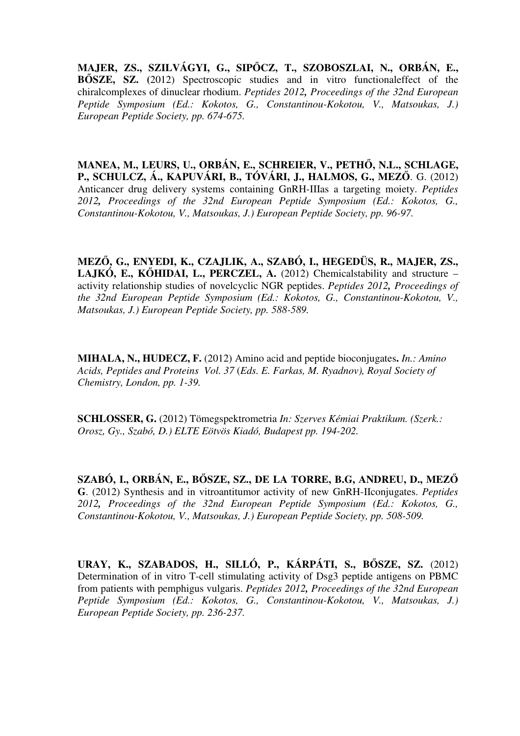**MAJER, ZS., SZILVÁGYI, G., SIP**Ő**CZ, T., SZOBOSZLAI, N., ORBÁN, E., B**Ő**SZE, SZ. (**2012) Spectroscopic studies and in vitro functionaleffect of the chiralcomplexes of dinuclear rhodium. *Peptides 2012, Proceedings of the 32nd European Peptide Symposium (Ed.: Kokotos, G., Constantinou-Kokotou, V., Matsoukas, J.) European Peptide Society, pp. 674-675.*

**MANEA, M., LEURS, U., ORBÁN, E., SCHREIER, V., PETH**Ő**, N.L., SCHLAGE, P., SCHULCZ, Á., KAPUVÁRI, B., TÓVÁRI, J., HALMOS, G., MEZ**Ő. G. (2012) Anticancer drug delivery systems containing GnRH-IIIas a targeting moiety. *Peptides 2012, Proceedings of the 32nd European Peptide Symposium (Ed.: Kokotos, G., Constantinou-Kokotou, V., Matsoukas, J.) European Peptide Society, pp. 96-97.*

**MEZ**Ő**, G., ENYEDI, K., CZAJLIK, A., SZABÓ, I., HEGEDÜS, R., MAJER, ZS., LAJKÓ, E., K**Ő**HIDAI, L., PERCZEL, A.** (2012) Chemicalstability and structure – activity relationship studies of novelcyclic NGR peptides. *Peptides 2012, Proceedings of the 32nd European Peptide Symposium (Ed.: Kokotos, G., Constantinou-Kokotou, V., Matsoukas, J.) European Peptide Society, pp. 588-589.*

**MIHALA, N., HUDECZ, F.** (2012) Amino acid and peptide bioconjugates**.** *In.: Amino Acids, Peptides and Proteins Vol. 37* (*Eds. E. Farkas, M. Ryadnov), Royal Society of Chemistry, London, pp. 1-39.*

**SCHLOSSER, G.** (2012) Tömegspektrometria *In: Szerves Kémiai Praktikum. (Szerk.: Orosz, Gy., Szabó, D.) ELTE Eötvös Kiadó, Budapest pp. 194-202.*

**SZABÓ, I., ORBÁN, E., B**Ő**SZE, SZ., DE LA TORRE, B.G, ANDREU, D., MEZ**Ő **G**. (2012) Synthesis and in vitroantitumor activity of new GnRH-IIconjugates. *Peptides 2012, Proceedings of the 32nd European Peptide Symposium (Ed.: Kokotos, G., Constantinou-Kokotou, V., Matsoukas, J.) European Peptide Society, pp. 508-509.*

**URAY, K., SZABADOS, H., SILLÓ, P., KÁRPÁTI, S., B**Ő**SZE, SZ.** (2012) Determination of in vitro T-cell stimulating activity of Dsg3 peptide antigens on PBMC from patients with pemphigus vulgaris. *Peptides 2012, Proceedings of the 32nd European Peptide Symposium (Ed.: Kokotos, G., Constantinou-Kokotou, V., Matsoukas, J.) European Peptide Society, pp. 236-237.*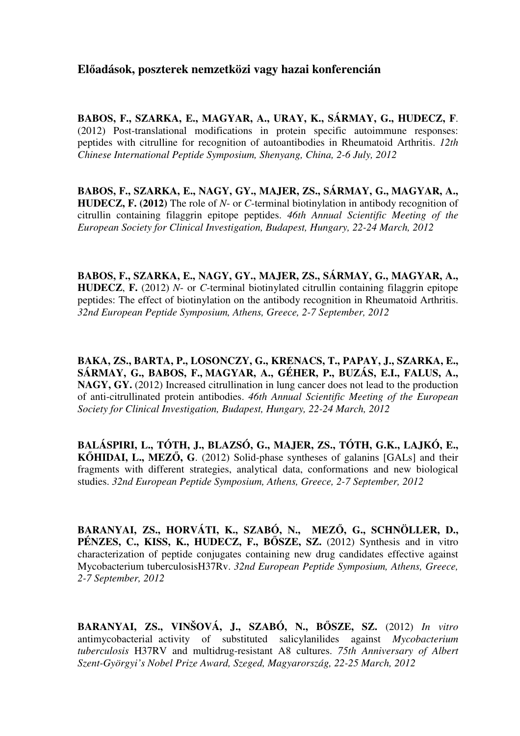## **El**ő**adások, poszterek nemzetközi vagy hazai konferencián**

**BABOS, F., SZARKA, E., MAGYAR, A., URAY, K., SÁRMAY, G., HUDECZ, F**. (2012) Post-translational modifications in protein specific autoimmune responses: peptides with citrulline for recognition of autoantibodies in Rheumatoid Arthritis. *12th Chinese International Peptide Symposium, Shenyang, China, 2-6 July, 2012*

**BABOS, F., SZARKA, E., NAGY, GY., MAJER, ZS., SÁRMAY, G., MAGYAR, A., HUDECZ, F. (2012)** The role of *N*- or *C*-terminal biotinylation in antibody recognition of citrullin containing filaggrin epitope peptides. *46th Annual Scientific Meeting of the European Society for Clinical Investigation, Budapest, Hungary, 22-24 March, 2012*

**BABOS, F., SZARKA, E., NAGY, GY., MAJER, ZS., SÁRMAY, G., MAGYAR, A., HUDECZ**, **F.** (2012) *N*- or *C*-terminal biotinylated citrullin containing filaggrin epitope peptides: The effect of biotinylation on the antibody recognition in Rheumatoid Arthritis. *32nd European Peptide Symposium, Athens, Greece, 2-7 September, 2012*

**BAKA, ZS., BARTA, P., LOSONCZY, G., KRENACS, T., PAPAY, J., SZARKA, E., SÁRMAY, G., BABOS, F., MAGYAR, A., GÉHER, P., BUZÁS, E.I., FALUS, A., NAGY, GY.** (2012) Increased citrullination in lung cancer does not lead to the production of anti-citrullinated protein antibodies. *46th Annual Scientific Meeting of the European Society for Clinical Investigation, Budapest, Hungary, 22-24 March, 2012*

**BALÁSPIRI, L., TÓTH, J., BLAZSÓ, G., MAJER, ZS., TÓTH, G.K., LAJKÓ, E., K**Ő**HIDAI, L., MEZ**Ő**, G**. (2012) Solid-phase syntheses of galanins [GALs] and their fragments with different strategies, analytical data, conformations and new biological studies. *32nd European Peptide Symposium, Athens, Greece, 2-7 September, 2012*

**BARANYAI, ZS., HORVÁTI, K., SZABÓ, N., MEZ**Ő**, G., SCHNÖLLER, D., PÉNZES, C., KISS, K., HUDECZ, F., B**Ő**SZE, SZ.** (2012) Synthesis and in vitro characterization of peptide conjugates containing new drug candidates effective against Mycobacterium tuberculosisH37Rv. *32nd European Peptide Symposium, Athens, Greece, 2-7 September, 2012*

**BARANYAI, ZS., VINŠOVÁ, J., SZABÓ, N., B**Ő**SZE, SZ.** (2012) *In vitro* antimycobacterial activity of substituted salicylanilides against *Mycobacterium tuberculosis* H37RV and multidrug-resistant A8 cultures. *75th Anniversary of Albert Szent-Györgyi's Nobel Prize Award, Szeged, Magyarország, 22-25 March, 2012*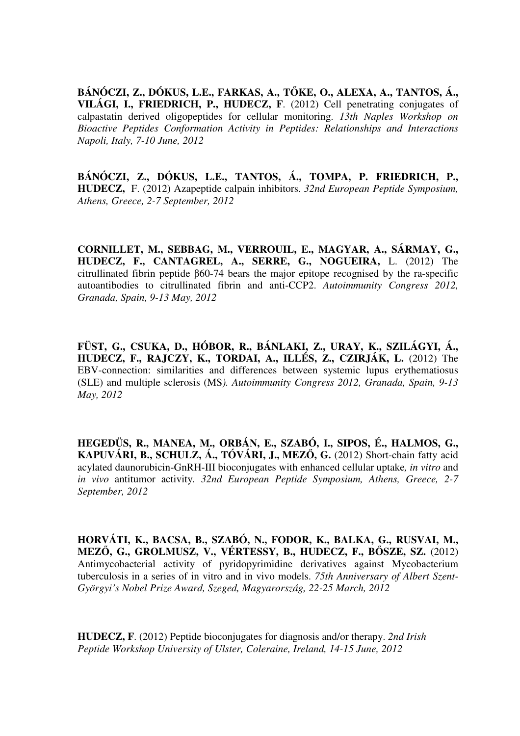**BÁNÓCZI, Z., DÓKUS, L.E., FARKAS, A., T**Ő**KE, O., ALEXA, A., TANTOS, Á., VILÁGI, I., FRIEDRICH, P., HUDECZ, F**. (2012) Cell penetrating conjugates of calpastatin derived oligopeptides for cellular monitoring. *13th Naples Workshop on Bioactive Peptides Conformation Activity in Peptides: Relationships and Interactions Napoli, Italy, 7-10 June, 2012* 

**BÁNÓCZI, Z., DÓKUS, L.E., TANTOS, Á., TOMPA, P. FRIEDRICH, P., HUDECZ,** F. (2012) Azapeptide calpain inhibitors. *32nd European Peptide Symposium, Athens, Greece, 2-7 September, 2012*

**CORNILLET, M., SEBBAG, M., VERROUIL, E., MAGYAR, A., SÁRMAY, G., HUDECZ, F., CANTAGREL, A., SERRE, G., NOGUEIRA,** L. (2012) The citrullinated fibrin peptide β60-74 bears the major epitope recognised by the ra-specific autoantibodies to citrullinated fibrin and anti-CCP2. *Autoimmunity Congress 2012, Granada, Spain, 9-13 May, 2012* 

**FÜST, G., CSUKA, D., HÓBOR, R., BÁNLAKI, Z., URAY, K., SZILÁGYI, Á., HUDECZ, F., RAJCZY, K., TORDAI, A., ILLÉS, Z., CZIRJÁK, L.** (2012) The EBV-connection: similarities and differences between systemic lupus erythematiosus (SLE) and multiple sclerosis (MS*). Autoimmunity Congress 2012, Granada, Spain, 9-13 May, 2012*

**HEGEDÜS, R., MANEA, M., ORBÁN, E., SZABÓ, I., SIPOS, É., HALMOS, G., KAPUVÁRI, B., SCHULZ, Á., TÓVÁRI, J., MEZ**Ő**, G.** (2012) Short-chain fatty acid acylated daunorubicin-GnRH-III bioconjugates with enhanced cellular uptake*, in vitro* and *in vivo* antitumor activity*. 32nd European Peptide Symposium, Athens, Greece, 2-7 September, 2012*

**HORVÁTI, K., BACSA, B., SZABÓ, N., FODOR, K., BALKA, G., RUSVAI, M., MEZ**Ő**, G., GROLMUSZ, V., VÉRTESSY, B., HUDECZ, F., B**Ő**SZE, SZ.** (2012) Antimycobacterial activity of pyridopyrimidine derivatives against Mycobacterium tuberculosis in a series of in vitro and in vivo models. *75th Anniversary of Albert Szent-Györgyi's Nobel Prize Award, Szeged, Magyarország, 22-25 March, 2012*

**HUDECZ, F**. (2012) Peptide bioconjugates for diagnosis and/or therapy. *2nd Irish Peptide Workshop University of Ulster, Coleraine, Ireland, 14-15 June, 2012*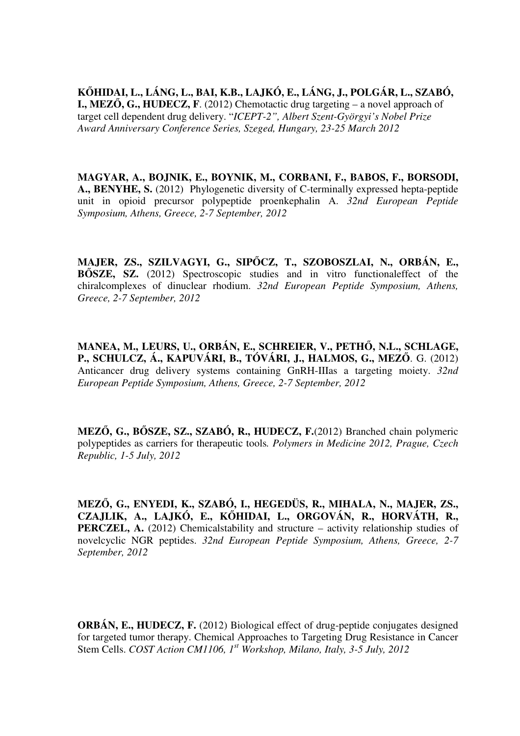**K**Ő**HIDAI, L., LÁNG, L., BAI, K.B., LAJKÓ, E., LÁNG, J., POLGÁR, L., SZABÓ, I., MEZ**Ő**, G., HUDECZ, F**. (2012) Chemotactic drug targeting – a novel approach of target cell dependent drug delivery. "*ICEPT-2", Albert Szent-Györgyi's Nobel Prize Award Anniversary Conference Series, Szeged, Hungary, 23-25 March 2012*

**MAGYAR, A., BOJNIK, E., BOYNIK, M., CORBANI, F., BABOS, F., BORSODI, A., BENYHE, S.** (2012) Phylogenetic diversity of C-terminally expressed hepta-peptide unit in opioid precursor polypeptide proenkephalin A. *32nd European Peptide Symposium, Athens, Greece, 2-7 September, 2012*

**MAJER, ZS., SZILVAGYI, G., SIP**Ő**CZ, T., SZOBOSZLAI, N., ORBÁN, E., B**Ő**SZE, SZ.** (2012) Spectroscopic studies and in vitro functionaleffect of the chiralcomplexes of dinuclear rhodium. *32nd European Peptide Symposium, Athens, Greece, 2-7 September, 2012*

**MANEA, M., LEURS, U., ORBÁN, E., SCHREIER, V., PETH**Ő**, N.L., SCHLAGE, P., SCHULCZ, Á., KAPUVÁRI, B., TÓVÁRI, J., HALMOS, G., MEZ**Ő. G. (2012) Anticancer drug delivery systems containing GnRH-IIIas a targeting moiety. *32nd European Peptide Symposium, Athens, Greece, 2-7 September, 2012*

**MEZ**Ő**, G., B**Ő**SZE, SZ., SZABÓ, R., HUDECZ, F.**(2012) Branched chain polymeric polypeptides as carriers for therapeutic tools*. Polymers in Medicine 2012, Prague, Czech Republic, 1-5 July, 2012*

**MEZ**Ő**, G., ENYEDI, K., SZABÓ, I., HEGEDÜS, R., MIHALA, N., MAJER, ZS., CZAJLIK, A., LAJKÓ, E., K**Ő**HIDAI, L., ORGOVÁN, R., HORVÁTH, R., PERCZEL, A.** (2012) Chemicalstability and structure – activity relationship studies of novelcyclic NGR peptides. *32nd European Peptide Symposium, Athens, Greece, 2-7 September, 2012*

**ORBÁN, E., HUDECZ, F.** (2012) Biological effect of drug-peptide conjugates designed for targeted tumor therapy. Chemical Approaches to Targeting Drug Resistance in Cancer Stem Cells. *COST Action CM1106, 1st Workshop, Milano, Italy, 3-5 July, 2012*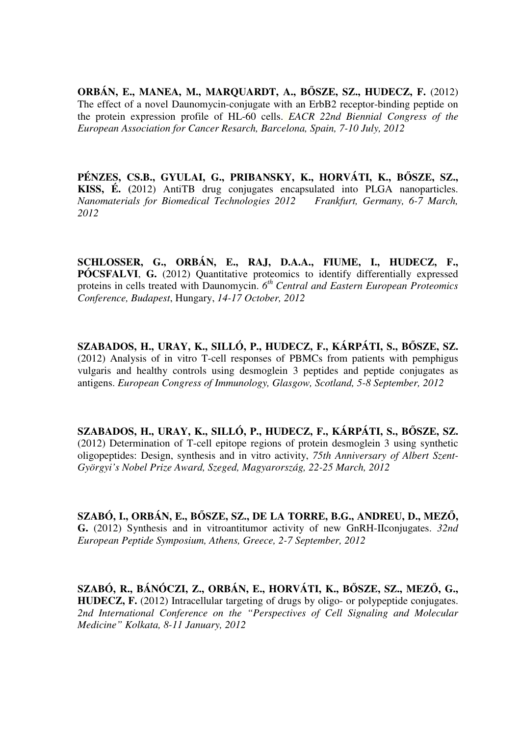**ORBÁN, E., MANEA, M., MARQUARDT, A., B**Ő**SZE, SZ., HUDECZ, F.** (2012) The effect of a novel Daunomycin-conjugate with an ErbB2 receptor-binding peptide on the protein expression profile of HL-60 cells. *EACR 22nd Biennial Congress of the European Association for Cancer Resarch, Barcelona, Spain, 7-10 July, 2012*

**PÉNZES, CS.B., GYULAI, G., PRIBANSKY, K., HORVÁTI, K., B**Ő**SZE, SZ., KISS, É. (**2012) AntiTB drug conjugates encapsulated into PLGA nanoparticles. *Nanomaterials for Biomedical Technologies 2012 Frankfurt, Germany, 6-7 March, 2012*

**SCHLOSSER, G., ORBÁN, E., RAJ, D.A.A., FIUME, I., HUDECZ, F., PÓCSFALVI**, **G.** (2012) Quantitative proteomics to identify differentially expressed proteins in cells treated with Daunomycin.  $6^{th}$  Central and Eastern European Proteomics *Conference, Budapest*, Hungary, *14-17 October, 2012*

**SZABADOS, H., URAY, K., SILLÓ, P., HUDECZ, F., KÁRPÁTI, S., B**Ő**SZE, SZ.**  (2012) Analysis of in vitro T-cell responses of PBMCs from patients with pemphigus vulgaris and healthy controls using desmoglein 3 peptides and peptide conjugates as antigens. *European Congress of Immunology, Glasgow, Scotland, 5-8 September, 2012*

**SZABADOS, H., URAY, K., SILLÓ, P., HUDECZ, F., KÁRPÁTI, S., B**Ő**SZE, SZ.**  (2012) Determination of T-cell epitope regions of protein desmoglein 3 using synthetic oligopeptides: Design, synthesis and in vitro activity, *75th Anniversary of Albert Szent-Györgyi's Nobel Prize Award, Szeged, Magyarország, 22-25 March, 2012*

**SZABÓ, I., ORBÁN, E., B**Ő**SZE, SZ., DE LA TORRE, B.G., ANDREU, D., MEZ**Ő**, G.** (2012) Synthesis and in vitroantitumor activity of new GnRH-IIconjugates. *32nd European Peptide Symposium, Athens, Greece, 2-7 September, 2012*

**SZABÓ, R., BÁNÓCZI, Z., ORBÁN, E., HORVÁTI, K., B**Ő**SZE, SZ., MEZ**Ő**, G., HUDECZ, F.** (2012) Intracellular targeting of drugs by oligo- or polypeptide conjugates. 2nd International Conference on the "Perspectives of Cell Signaling and Molecular *Medicine" Kolkata, 8-11 January, 2012*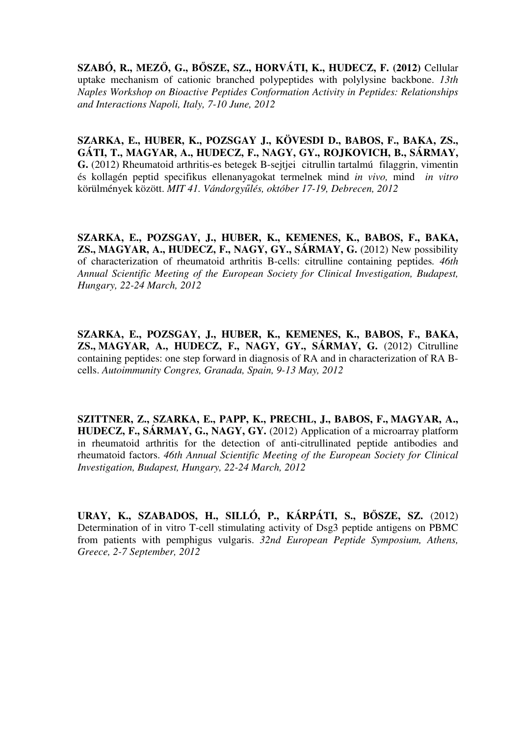**SZABÓ, R., MEZ**Ő**, G., B**Ő**SZE, SZ., HORVÁTI, K., HUDECZ, F. (2012)** Cellular uptake mechanism of cationic branched polypeptides with polylysine backbone. *13th Naples Workshop on Bioactive Peptides Conformation Activity in Peptides: Relationships and Interactions Napoli, Italy, 7-10 June, 2012*

**SZARKA, E., HUBER, K., POZSGAY J., KÖVESDI D., BABOS, F., BAKA, ZS., GÁTI, T., MAGYAR, A., HUDECZ, F., NAGY, GY., ROJKOVICH, B., SÁRMAY, G.** (2012) Rheumatoid arthritis-es betegek B-sejtjei citrullin tartalmú filaggrin, vimentin és kollagén peptid specifikus ellenanyagokat termelnek mind *in vivo,* mind *in vitro* körülmények között. *MIT 41. Vándorgy*ű*lés, október 17-19, Debrecen, 2012*

**SZARKA, E., POZSGAY, J., HUBER, K., KEMENES, K., BABOS, F., BAKA, ZS., MAGYAR, A., HUDECZ, F., NAGY, GY., SÁRMAY, G.** (2012) New possibility of characterization of rheumatoid arthritis B-cells: citrulline containing peptides*. 46th Annual Scientific Meeting of the European Society for Clinical Investigation, Budapest, Hungary, 22-24 March, 2012*

**SZARKA, E., POZSGAY, J., HUBER, K., KEMENES, K., BABOS, F., BAKA, ZS., MAGYAR, A., HUDECZ, F., NAGY, GY., SÁRMAY, G.** (2012) Citrulline containing peptides: one step forward in diagnosis of RA and in characterization of RA Bcells. *Autoimmunity Congres, Granada, Spain, 9-13 May, 2012*

**SZITTNER, Z., SZARKA, E., PAPP, K., PRECHL, J., BABOS, F., MAGYAR, A., HUDECZ, F., SÁRMAY, G., NAGY, GY.** (2012) Application of a microarray platform in rheumatoid arthritis for the detection of anti-citrullinated peptide antibodies and rheumatoid factors. *46th Annual Scientific Meeting of the European Society for Clinical Investigation, Budapest, Hungary, 22-24 March, 2012*

**URAY, K., SZABADOS, H., SILLÓ, P., KÁRPÁTI, S., B**Ő**SZE, SZ.** (2012) Determination of in vitro T-cell stimulating activity of Dsg3 peptide antigens on PBMC from patients with pemphigus vulgaris. *32nd European Peptide Symposium, Athens, Greece, 2-7 September, 2012*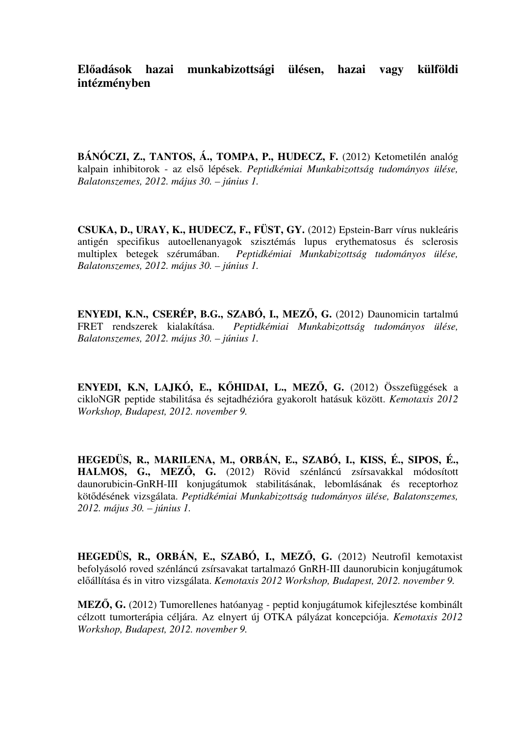# **El**ő**adások hazai munkabizottsági ülésen, hazai vagy külföldi intézményben**

BÁNÓCZI, Z., TANTOS, Á., TOMPA, P., HUDECZ, F. (2012) Ketometilén analóg kalpain inhibitorok - az első lépések. *Peptidkémiai Munkabizottság tudományos ülése, Balatonszemes, 2012. május 30. – június 1.*

**CSUKA, D., URAY, K., HUDECZ, F., FÜST, GY.** (2012) Epstein-Barr vírus nukleáris antigén specifikus autoellenanyagok szisztémás lupus erythematosus és sclerosis multiplex betegek szérumában. *Peptidkémiai Munkabizottság tudományos ülése, Balatonszemes, 2012. május 30. – június 1.*

**ENYEDI, K.N., CSERÉP, B.G., SZABÓ, I., MEZ**Ő**, G.** (2012) Daunomicin tartalmú FRET rendszerek kialakítása. *Peptidkémiai Munkabizottság tudományos ülése, Balatonszemes, 2012. május 30. – június 1.*

**ENYEDI, K.N, LAJKÓ, E., K**Ő**HIDAI, L., MEZ**Ő**, G.** (2012) Összefüggések a cikloNGR peptide stabilitása és sejtadhézióra gyakorolt hatásuk között. *Kemotaxis 2012 Workshop, Budapest, 2012. november 9.* 

**HEGEDÜS, R., MARILENA, M., ORBÁN, E., SZABÓ, I., KISS, É., SIPOS, É., HALMOS, G., MEZ**Ő**, G.** (2012) Rövid szénláncú zsírsavakkal módosított daunorubicin-GnRH-III konjugátumok stabilitásának, lebomlásának és receptorhoz kötődésének vizsgálata. *Peptidkémiai Munkabizottság tudományos ülése, Balatonszemes, 2012. május 30. – június 1.*

**HEGEDÜS, R., ORBÁN, E., SZABÓ, I., MEZ**Ő**, G.** (2012) Neutrofil kemotaxist befolyásoló roved szénláncú zsírsavakat tartalmazó GnRH-III daunorubicin konjugátumok előállítása és in vitro vizsgálata. *Kemotaxis 2012 Workshop, Budapest, 2012. november 9.* 

**MEZ**Ő**, G.** (2012) Tumorellenes hatóanyag - peptid konjugátumok kifejlesztése kombinált célzott tumorterápia céljára. Az elnyert új OTKA pályázat koncepciója. *Kemotaxis 2012 Workshop, Budapest, 2012. november 9.*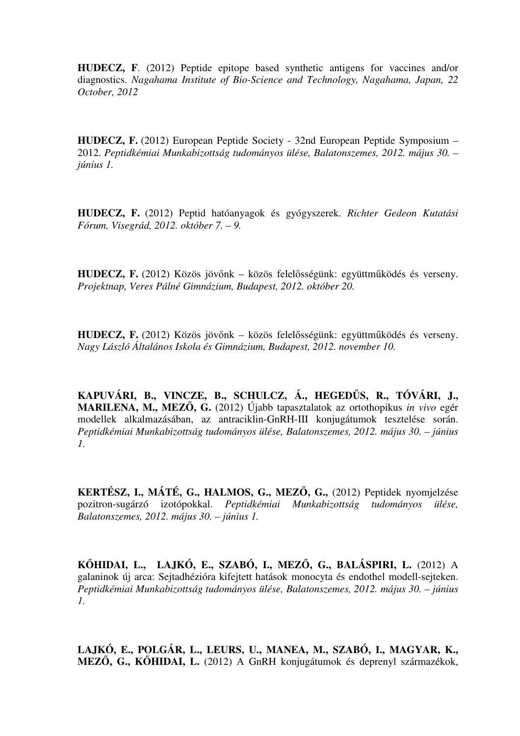**HUDECZ, F**. (2012) Peptide epitope based synthetic antigens for vaccines and/or diagnostics. *Nagahama Institute of Bio-Science and Technology, Nagahama, Japan, 22 October, 2012*

**HUDECZ, F.** (2012) European Peptide Society - 32nd European Peptide Symposium – 2012. *Peptidkémiai Munkabizottság tudományos ülése, Balatonszemes, 2012. május 30. – június 1.*

**HUDECZ, F.** (2012) Peptid hatóanyagok és gyógyszerek. *Richter Gedeon Kutatási Fórum, Visegrád, 2012. október 7. – 9.*

**HUDECZ, F.** (2012) Közös jövőnk – közös felelősségünk: együttműködés és verseny. *Projektnap, Veres Pálné Gimnázium, Budapest, 2012. október 20.*

**HUDECZ, F.** (2012) Közös jövőnk – közös felelősségünk: együttműködés és verseny. *Nagy László Általános Iskola és Gimnázium, Budapest, 2012. november 10.*

**KAPUVÁRI, B., VINCZE, B., SCHULCZ, Á., HEGED**Ű**S, R., TÓVÁRI, J., MARILENA, M., MEZ**Ő**, G.** (2012) Újabb tapasztalatok az ortothopikus *in vivo* egér modellek alkalmazásában, az antraciklin-GnRH-III konjugátumok tesztelése során. *Peptidkémiai Munkabizottság tudományos ülése, Balatonszemes, 2012. május 30. – június 1.*

**KERTÉSZ, I., MÁTÉ, G., HALMOS, G., MEZ**Ő**, G.,** (2012) Peptidek nyomjelzése pozitron-sugárzó izotópokkal. *Peptidkémiai Munkabizottság tudományos ülése, Balatonszemes, 2012. május 30. – június 1.*

**K**Ő**HIDAI, L., LAJKÓ, E., SZABÓ, I., MEZ**Ő**, G., BALÁSPIRI, L.** (2012) A galaninok új arca: Sejtadhézióra kifejtett hatások monocyta és endothel modell-sejteken. *Peptidkémiai Munkabizottság tudományos ülése, Balatonszemes, 2012. május 30. – június 1.*

**LAJKÓ, E., POLGÁR, L., LEURS, U., MANEA, M., SZABÓ, I., MAGYAR, K., MEZ**Ő**, G., K**Ő**HIDAI, L.** (2012) A GnRH konjugátumok és deprenyl származékok,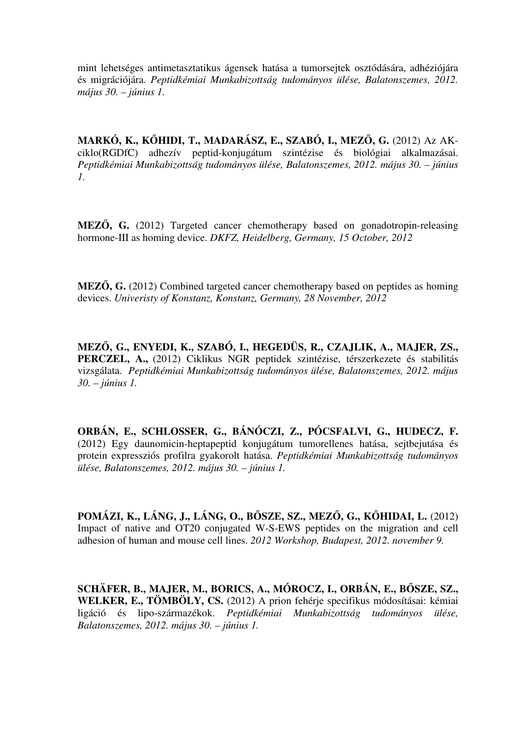mint lehetséges antimetasztatikus ágensek hatása a tumorsejtek osztódására, adhéziójára és migrációjára. *Peptidkémiai Munkabizottság tudományos ülése, Balatonszemes, 2012. május 30. – június 1.*

**MARKÓ, K., K**Ő**HIDI, T., MADARÁSZ, E., SZABÓ, I., MEZ**Ő**, G.** (2012) Az AKciklo(RGDfC) adhezív peptid-konjugátum szintézise és biológiai alkalmazásai. *Peptidkémiai Munkabizottság tudományos ülése, Balatonszemes, 2012. május 30. – június 1.*

**MEZ**Ő**, G.** (2012) Targeted cancer chemotherapy based on gonadotropin-releasing hormone-III as homing device. *DKFZ, Heidelberg, Germany, 15 October, 2012*

**MEZ**Ő**, G.** (2012) Combined targeted cancer chemotherapy based on peptides as homing devices. *Univeristy of Konstanz, Konstanz, Germany, 28 November, 2012*

**MEZ**Ő**, G., ENYEDI, K., SZABÓ, I., HEGEDÜS, R., CZAJLIK, A., MAJER, ZS., PERCZEL, A.,** (2012) Ciklikus NGR peptidek szintézise, térszerkezete és stabilitás vizsgálata. *Peptidkémiai Munkabizottság tudományos ülése, Balatonszemes, 2012. május 30. – június 1.*

**ORBÁN, E., SCHLOSSER, G., BÁNÓCZI, Z., PÓCSFALVI, G., HUDECZ, F.** (2012) Egy daunomicin-heptapeptid konjugátum tumorellenes hatása, sejtbejutása és protein expressziós profilra gyakorolt hatása. *Peptidkémiai Munkabizottság tudományos ülése, Balatonszemes, 2012. május 30. – június 1.*

**POMÁZI, K., LÁNG, J., LÁNG, O., B**Ő**SZE, SZ., MEZ**Ő**, G., K**Ő**HIDAI, L.** (2012) Impact of native and OT20 conjugated W-S-EWS peptides on the migration and cell adhesion of human and mouse cell lines. *2012 Workshop, Budapest, 2012. november 9.*

**SCHÄFER, B., MAJER, M., BORICS, A., MÓROCZ, I., ORBÁN, E., B**Ő**SZE, SZ.,**  WELKER, E., TÖMBÖLY, CS. (2012) A prion fehérje specifikus módosításai: kémiai ligáció és lipo-származékok. *Peptidkémiai Munkabizottság tudományos ülése, Balatonszemes, 2012. május 30. – június 1.*